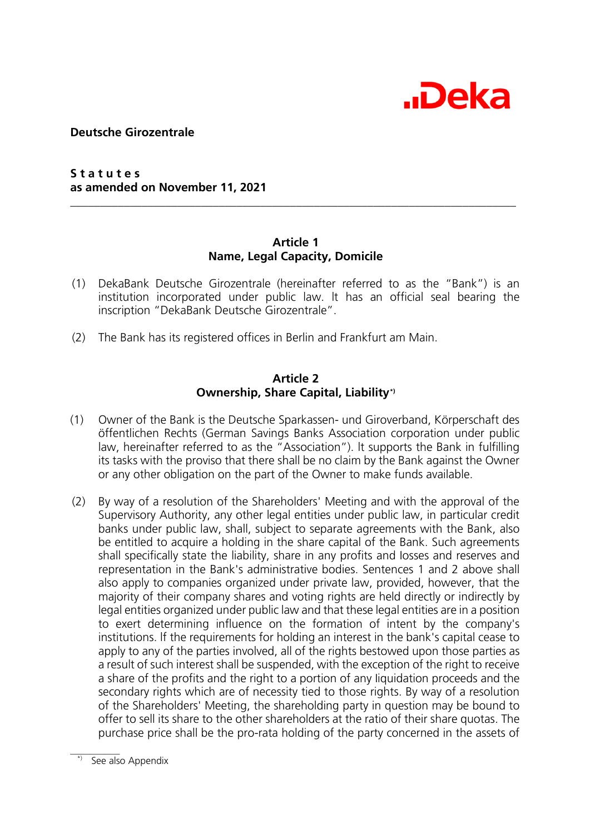

**Deutsche Girozentrale**

**S t a t u t e s as amended on November 11, 2021** 

#### **Article 1 Name, Legal Capacity, Domicile**

**\_\_\_\_\_\_\_\_\_\_\_\_\_\_\_\_\_\_\_\_\_\_\_\_\_\_\_\_\_\_\_\_\_\_\_\_\_\_\_\_\_\_\_\_\_\_\_\_\_\_\_\_\_\_\_\_\_\_\_\_\_\_\_\_\_\_\_\_\_\_\_\_\_\_\_** 

- (1) DekaBank Deutsche Girozentrale (hereinafter referred to as the "Bank") is an institution incorporated under public law. lt has an official seal bearing the inscription "DekaBank Deutsche Girozentrale".
- (2) The Bank has its registered offices in Berlin and Frankfurt am Main.

#### **Article 2 Ownership, Share Capital, Liabilit[y\\*\)](#page-0-0)**

- (1) Owner of the Bank is the Deutsche Sparkassen- und Giroverband, Körperschaft des öffentlichen Rechts (German Savings Banks Association corporation under public law, hereinafter referred to as the "Association"). lt supports the Bank in fulfilling its tasks with the proviso that there shall be no claim by the Bank against the Owner or any other obligation on the part of the Owner to make funds available.
- (2) By way of a resolution of the Shareholders' Meeting and with the approval of the Supervisory Authority, any other legal entities under public law, in particular credit banks under public law, shall, subject to separate agreements with the Bank, also be entitled to acquire a holding in the share capital of the Bank. Such agreements shall specifically state the liability, share in any profits and Iosses and reserves and representation in the Bank's administrative bodies. Sentences 1 and 2 above shall also apply to companies organized under private law, provided, however, that the majority of their company shares and voting rights are held directly or indirectly by legal entities organized under public law and that these legal entities are in a position to exert determining influence on the formation of intent by the company's institutions. lf the requirements for holding an interest in the bank's capital cease to apply to any of the parties involved, all of the rights bestowed upon those parties as a result of such interest shall be suspended, with the exception of the right to receive a share of the profits and the right to a portion of any Iiquidation proceeds and the secondary rights which are of necessity tied to those rights. By way of a resolution of the Shareholders' Meeting, the shareholding party in question may be bound to offer to sell its share to the other shareholders at the ratio of their share quotas. The purchase price shall be the pro-rata holding of the party concerned in the assets of

<span id="page-0-0"></span> $\mathcal{L}$  and  $\mathcal{L}$ See also Appendix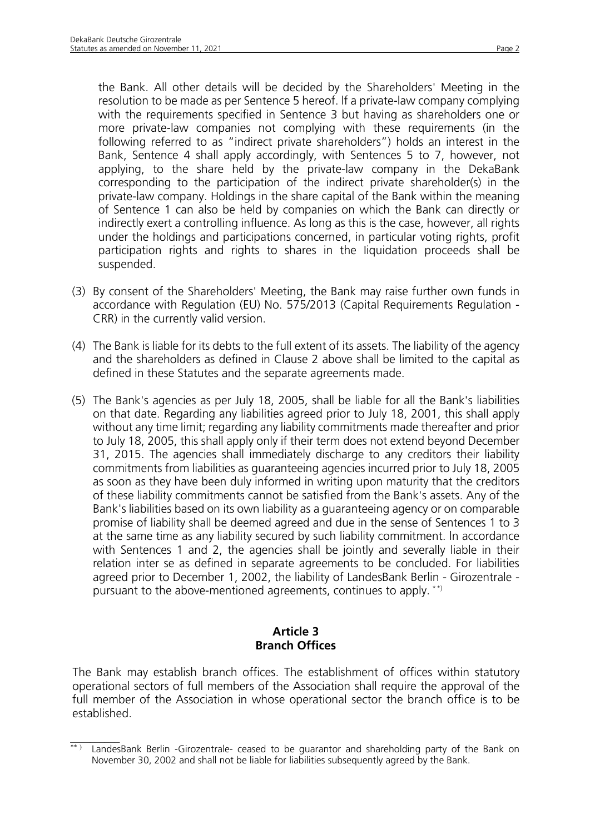suspended.

the Bank. All other details will be decided by the Shareholders' Meeting in the resolution to be made as per Sentence 5 hereof. lf a private-law company complying with the requirements specified in Sentence 3 but having as shareholders one or more private-law companies not complying with these requirements (in the following referred to as "indirect private shareholders") holds an interest in the Bank, Sentence 4 shall apply accordingly, with Sentences 5 to 7, however, not applying, to the share held by the private-law company in the DekaBank corresponding to the participation of the indirect private shareholder(s) in the private-law company. Holdings in the share capital of the Bank within the meaning of Sentence 1 can also be held by companies on which the Bank can directly or indirectly exert a controlling influence. As long as this is the case, however, all rights under the holdings and participations concerned, in particular voting rights, profit participation rights and rights to shares in the Iiquidation proceeds shall be

- (3) By consent of the Shareholders' Meeting, the Bank may raise further own funds in accordance with Regulation (EU) No. 575/2013 (Capital Requirements Regulation - CRR) in the currently valid version.
- (4) The Bank is liable for its debts to the full extent of its assets. The liability of the agency and the shareholders as defined in Clause 2 above shall be limited to the capital as defined in these Statutes and the separate agreements made.
- (5) The Bank's agencies as per July 18, 2005, shall be liable for all the Bank's liabilities on that date. Regarding any liabilities agreed prior to July 18, 2001, this shall apply without any time limit; regarding any liability commitments made thereafter and prior to July 18, 2005, this shall apply only if their term does not extend beyond December 31, 2015. The agencies shall immediately discharge to any creditors their liability commitments from liabilities as guaranteeing agencies incurred prior to July 18, 2005 as soon as they have been duly informed in writing upon maturity that the creditors of these liability commitments cannot be satisfied from the Bank's assets. Any of the Bank's liabilities based on its own liability as a guaranteeing agency or on comparable promise of liability shall be deemed agreed and due in the sense of Sentences 1 to 3 at the same time as any liability secured by such liability commitment. ln accordance with Sentences 1 and 2, the agencies shall be jointly and severally liable in their relation inter se as defined in separate agreements to be concluded. For liabilities agreed prior to December 1, 2002, the liability of LandesBank Berlin - Girozentrale pursuant to the above-mentioned agreements, continues to apply. [\\*](#page-1-0)[\\*\)](#page-1-1)

## **Article 3 Branch Offices**

The Bank may establish branch offices. The establishment of offices within statutory operational sectors of full members of the Association shall require the approval of the full member of the Association in whose operational sector the branch office is to be established.

<span id="page-1-1"></span><span id="page-1-0"></span> $\frac{1}{2}$  $\overline{f^{*}}$  LandesBank Berlin -Girozentrale- ceased to be quarantor and shareholding party of the Bank on November 30, 2002 and shall not be liable for liabilities subsequently agreed by the Bank.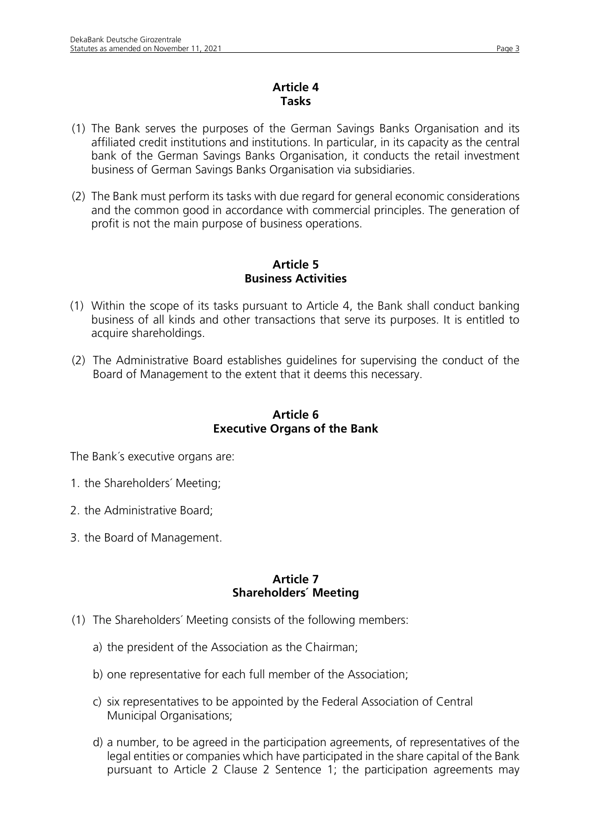## **Article 4 Tasks**

- (1) The Bank serves the purposes of the German Savings Banks Organisation and its affiliated credit institutions and institutions. In particular, in its capacity as the central bank of the German Savings Banks Organisation, it conducts the retail investment business of German Savings Banks Organisation via subsidiaries.
- (2) The Bank must perform its tasks with due regard for general economic considerations and the common good in accordance with commercial principles. The generation of profit is not the main purpose of business operations.

## **Article 5 Business Activities**

- (1) Within the scope of its tasks pursuant to Article 4, the Bank shall conduct banking business of all kinds and other transactions that serve its purposes. It is entitled to acquire shareholdings.
- (2) The Administrative Board establishes guidelines for supervising the conduct of the Board of Management to the extent that it deems this necessary.

## **Article 6 Executive Organs of the Bank**

The Bank´s executive organs are:

- 1. the Shareholders´ Meeting;
- 2. the Administrative Board;
- 3. the Board of Management.

### **Article 7 Shareholders´ Meeting**

- (1) The Shareholders´ Meeting consists of the following members:
	- a) the president of the Association as the Chairman;
	- b) one representative for each full member of the Association;
	- c) six representatives to be appointed by the Federal Association of Central Municipal Organisations;
	- d) a number, to be agreed in the participation agreements, of representatives of the legal entities or companies which have participated in the share capital of the Bank pursuant to Article 2 Clause 2 Sentence 1; the participation agreements may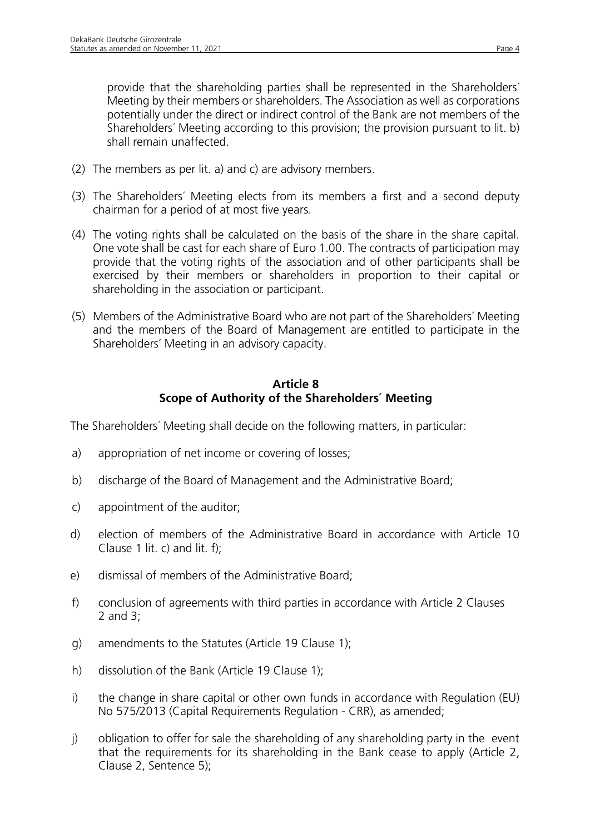provide that the shareholding parties shall be represented in the Shareholders´ Meeting by their members or shareholders. The Association as well as corporations potentially under the direct or indirect control of the Bank are not members of the Shareholders´ Meeting according to this provision; the provision pursuant to lit. b) shall remain unaffected.

- (2) The members as per lit. a) and c) are advisory members.
- (3) The Shareholders´ Meeting elects from its members a first and a second deputy chairman for a period of at most five years.
- (4) The voting rights shall be calculated on the basis of the share in the share capital. One vote shall be cast for each share of Euro 1.00. The contracts of participation may provide that the voting rights of the association and of other participants shall be exercised by their members or shareholders in proportion to their capital or shareholding in the association or participant.
- (5) Members of the Administrative Board who are not part of the Shareholders´ Meeting and the members of the Board of Management are entitled to participate in the Shareholders´ Meeting in an advisory capacity.

## **Article 8 Scope of Authority of the Shareholders´ Meeting**

The Shareholders´ Meeting shall decide on the following matters, in particular:

- a) appropriation of net income or covering of losses;
- b) discharge of the Board of Management and the Administrative Board;
- c) appointment of the auditor;
- d) election of members of the Administrative Board in accordance with Article 10 Clause 1 lit. c) and lit. f);
- e) dismissal of members of the Administrative Board;
- f) conclusion of agreements with third parties in accordance with Article 2 Clauses 2 and 3;
- g) amendments to the Statutes (Article 19 Clause 1);
- h) dissolution of the Bank (Article 19 Clause 1);
- i) the change in share capital or other own funds in accordance with Regulation (EU) No 575/2013 (Capital Requirements Regulation - CRR), as amended;
- j) obligation to offer for sale the shareholding of any shareholding party in the event that the requirements for its shareholding in the Bank cease to apply (Article 2, Clause 2, Sentence 5);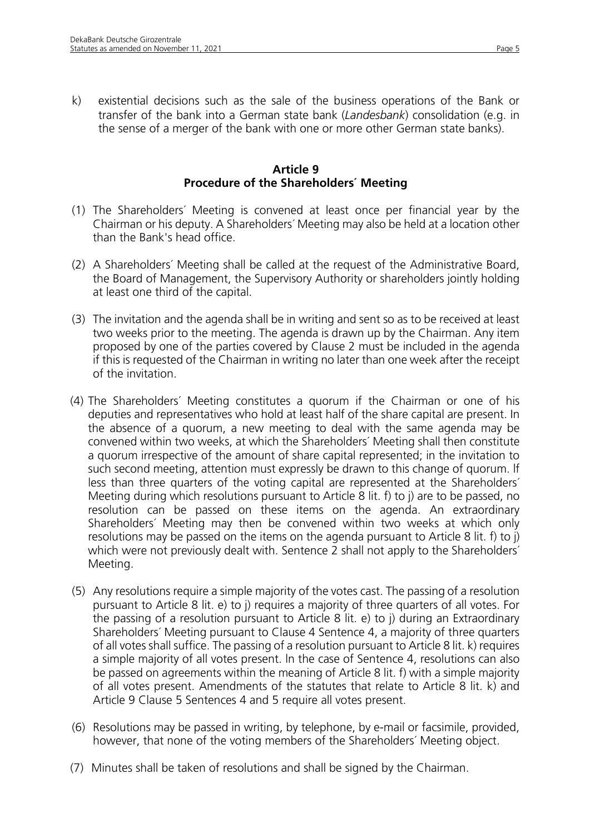k) existential decisions such as the sale of the business operations of the Bank or transfer of the bank into a German state bank (*Landesbank*) consolidation (e.g. in the sense of a merger of the bank with one or more other German state banks).

#### **Article 9 Procedure of the Shareholders´ Meeting**

- (1) The Shareholders´ Meeting is convened at least once per financial year by the Chairman or his deputy. A Shareholders´ Meeting may also be held at a location other than the Bank's head office.
- (2) A Shareholders´ Meeting shall be called at the request of the Administrative Board, the Board of Management, the Supervisory Authority or shareholders jointly holding at least one third of the capital.
- (3) The invitation and the agenda shall be in writing and sent so as to be received at least two weeks prior to the meeting. The agenda is drawn up by the Chairman. Any item proposed by one of the parties covered by Clause 2 must be included in the agenda if this is requested of the Chairman in writing no later than one week after the receipt of the invitation.
- (4) The Shareholders´ Meeting constitutes a quorum if the Chairman or one of his deputies and representatives who hold at least half of the share capital are present. In the absence of a quorum, a new meeting to deal with the same agenda may be convened within two weeks, at which the Shareholders´ Meeting shall then constitute a quorum irrespective of the amount of share capital represented; in the invitation to such second meeting, attention must expressly be drawn to this change of quorum. lf less than three quarters of the voting capital are represented at the Shareholders´ Meeting during which resolutions pursuant to Article 8 lit. f) to j) are to be passed, no resolution can be passed on these items on the agenda. An extraordinary Shareholders´ Meeting may then be convened within two weeks at which only resolutions may be passed on the items on the agenda pursuant to Article 8 lit. f) to j) which were not previously dealt with. Sentence 2 shall not apply to the Shareholders<sup>'</sup> Meeting.
- (5) Any resolutions require a simple majority of the votes cast. The passing of a resolution pursuant to Article 8 lit. e) to j) requires a majority of three quarters of all votes. For the passing of a resolution pursuant to Article 8 lit. e) to j) during an Extraordinary Shareholders´ Meeting pursuant to Clause 4 Sentence 4, a majority of three quarters of all votes shall suffice. The passing of a resolution pursuant to Article 8 lit. k) requires a simple majority of all votes present. ln the case of Sentence 4, resolutions can also be passed on agreements within the meaning of Article 8 lit. f) with a simple majority of all votes present. Amendments of the statutes that relate to Article 8 lit. k) and Article 9 Clause 5 Sentences 4 and 5 require all votes present.
- (6) Resolutions may be passed in writing, by telephone, by e-mail or facsimile, provided, however, that none of the voting members of the Shareholders´ Meeting object.
- (7) Minutes shall be taken of resolutions and shall be signed by the Chairman.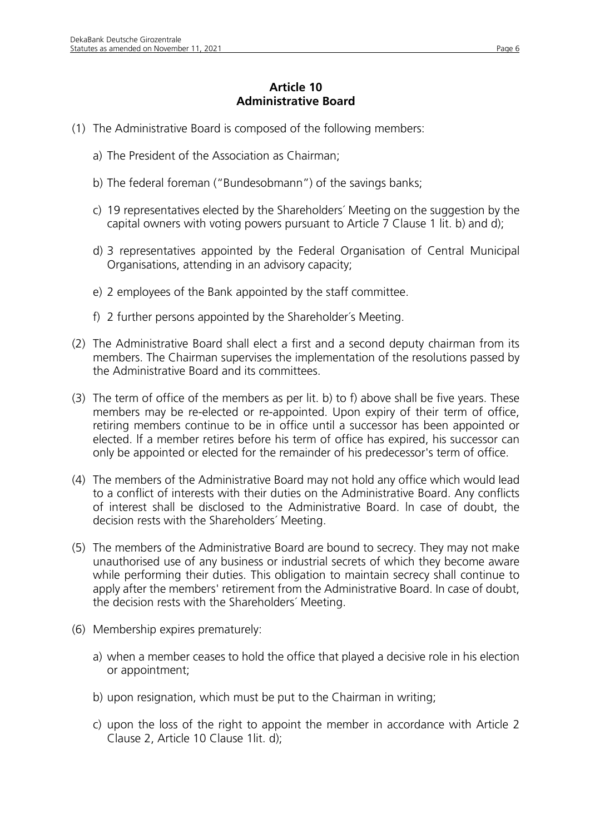# **Article 10 Administrative Board**

- (1) The Administrative Board is composed of the following members:
	- a) The President of the Association as Chairman;
	- b) The federal foreman ("Bundesobmann") of the savings banks;
	- c) 19 representatives elected by the Shareholders´ Meeting on the suggestion by the capital owners with voting powers pursuant to Article 7 Clause 1 lit. b) and d);
	- d) 3 representatives appointed by the Federal Organisation of Central Municipal Organisations, attending in an advisory capacity;
	- e) 2 employees of the Bank appointed by the staff committee.
	- f) 2 further persons appointed by the Shareholder´s Meeting.
- (2) The Administrative Board shall elect a first and a second deputy chairman from its members. The Chairman supervises the implementation of the resolutions passed by the Administrative Board and its committees.
- (3) The term of office of the members as per lit. b) to f) above shall be five years. These members may be re-elected or re-appointed. Upon expiry of their term of office, retiring members continue to be in office until a successor has been appointed or elected. lf a member retires before his term of office has expired, his successor can only be appointed or elected for the remainder of his predecessor's term of office.
- (4) The members of the Administrative Board may not hold any office which would Iead to a conflict of interests with their duties on the Administrative Board. Any conflicts of interest shall be disclosed to the Administrative Board. ln case of doubt, the decision rests with the Shareholders´ Meeting.
- (5) The members of the Administrative Board are bound to secrecy. They may not make unauthorised use of any business or industrial secrets of which they become aware while performing their duties. This obligation to maintain secrecy shall continue to apply after the members' retirement from the Administrative Board. In case of doubt, the decision rests with the Shareholders´ Meeting.
- (6) Membership expires prematurely:
	- a) when a member ceases to hold the office that played a decisive role in his election or appointment;
	- b) upon resignation, which must be put to the Chairman in writing;
	- c) upon the loss of the right to appoint the member in accordance with Article 2 Clause 2, Article 10 Clause 1lit. d);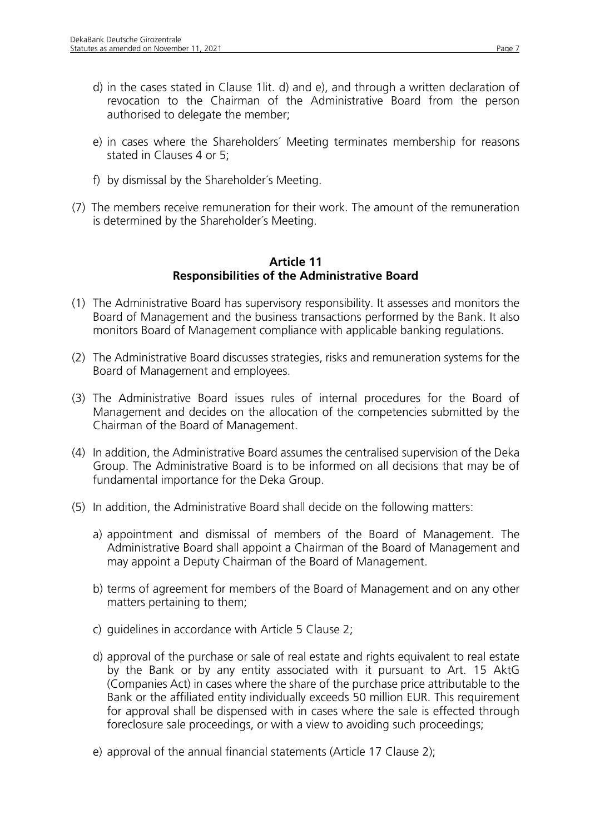- d) in the cases stated in Clause 1lit. d) and e), and through a written declaration of revocation to the Chairman of the Administrative Board from the person authorised to delegate the member;
- e) in cases where the Shareholders´ Meeting terminates membership for reasons stated in Clauses 4 or 5;
- f) by dismissal by the Shareholder´s Meeting.
- (7) The members receive remuneration for their work. The amount of the remuneration is determined by the Shareholder´s Meeting.

## **Article 11 Responsibilities of the Administrative Board**

- (1) The Administrative Board has supervisory responsibility. It assesses and monitors the Board of Management and the business transactions performed by the Bank. It also monitors Board of Management compliance with applicable banking regulations.
- (2) The Administrative Board discusses strategies, risks and remuneration systems for the Board of Management and employees.
- (3) The Administrative Board issues rules of internal procedures for the Board of Management and decides on the allocation of the competencies submitted by the Chairman of the Board of Management.
- (4) In addition, the Administrative Board assumes the centralised supervision of the Deka Group. The Administrative Board is to be informed on all decisions that may be of fundamental importance for the Deka Group.
- (5) In addition, the Administrative Board shall decide on the following matters:
	- a) appointment and dismissal of members of the Board of Management. The Administrative Board shall appoint a Chairman of the Board of Management and may appoint a Deputy Chairman of the Board of Management.
	- b) terms of agreement for members of the Board of Management and on any other matters pertaining to them;
	- c) guidelines in accordance with Article 5 Clause 2;
	- d) approval of the purchase or sale of real estate and rights equivalent to real estate by the Bank or by any entity associated with it pursuant to Art. 15 AktG (Companies Act) in cases where the share of the purchase price attributable to the Bank or the affiliated entity individually exceeds 50 million EUR. This requirement for approval shall be dispensed with in cases where the sale is effected through foreclosure sale proceedings, or with a view to avoiding such proceedings;
	- e) approval of the annual financial statements (Article 17 Clause 2);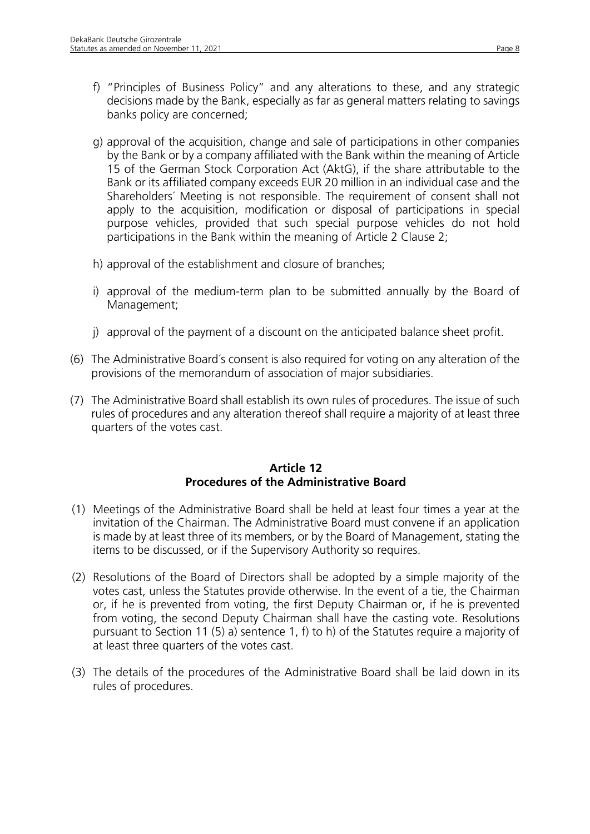- f) "Principles of Business Policy" and any alterations to these, and any strategic decisions made by the Bank, especially as far as general matters relating to savings banks policy are concerned;
- g) approval of the acquisition, change and sale of participations in other companies by the Bank or by a company affiliated with the Bank within the meaning of Article 15 of the German Stock Corporation Act (AktG), if the share attributable to the Bank or its affiliated company exceeds EUR 20 million in an individual case and the Shareholders´ Meeting is not responsible. The requirement of consent shall not apply to the acquisition, modification or disposal of participations in special purpose vehicles, provided that such special purpose vehicles do not hold participations in the Bank within the meaning of Article 2 Clause 2;
- h) approval of the establishment and closure of branches;
- i) approval of the medium-term plan to be submitted annually by the Board of Management;
- j) approval of the payment of a discount on the anticipated balance sheet profit.
- (6) The Administrative Board´s consent is also required for voting on any alteration of the provisions of the memorandum of association of major subsidiaries.
- (7) The Administrative Board shall establish its own rules of procedures. The issue of such rules of procedures and any alteration thereof shall require a majority of at least three quarters of the votes cast.

## **Article 12 Procedures of the Administrative Board**

- (1) Meetings of the Administrative Board shall be held at least four times a year at the invitation of the Chairman. The Administrative Board must convene if an application is made by at least three of its members, or by the Board of Management, stating the items to be discussed, or if the Supervisory Authority so requires.
- (2) Resolutions of the Board of Directors shall be adopted by a simple majority of the votes cast, unless the Statutes provide otherwise. In the event of a tie, the Chairman or, if he is prevented from voting, the first Deputy Chairman or, if he is prevented from voting, the second Deputy Chairman shall have the casting vote. Resolutions pursuant to Section 11 (5) a) sentence 1, f) to h) of the Statutes require a majority of at least three quarters of the votes cast.
- (3) The details of the procedures of the Administrative Board shall be laid down in its rules of procedures.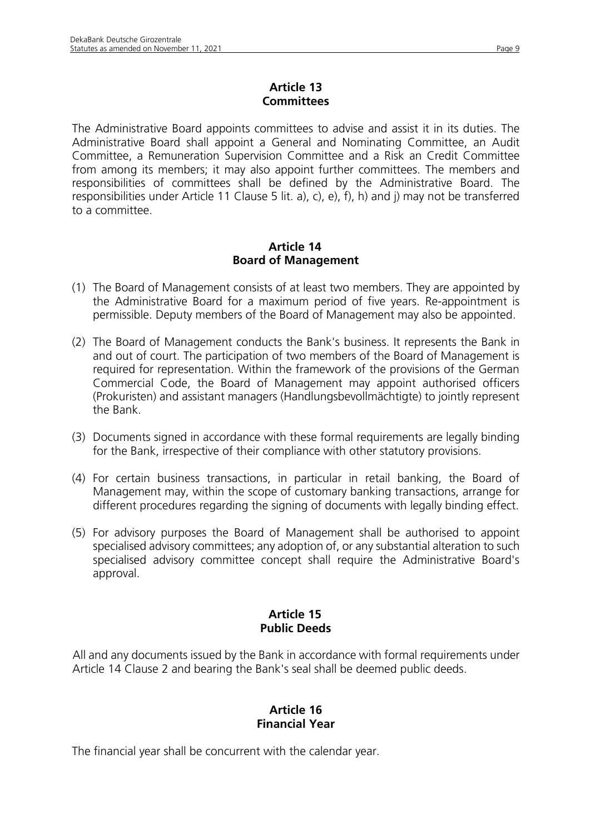## **Article 13 Committees**

The Administrative Board appoints committees to advise and assist it in its duties. The Administrative Board shall appoint a General and Nominating Committee, an Audit Committee, a Remuneration Supervision Committee and a Risk an Credit Committee from among its members; it may also appoint further committees. The members and responsibilities of committees shall be defined by the Administrative Board. The responsibilities under Article 11 Clause 5 lit. a), c), e), f), h) and j) may not be transferred to a committee.

### **Article 14 Board of Management**

- (1) The Board of Management consists of at least two members. They are appointed by the Administrative Board for a maximum period of five years. Re-appointment is permissible. Deputy members of the Board of Management may also be appointed.
- (2) The Board of Management conducts the Bank's business. It represents the Bank in and out of court. The participation of two members of the Board of Management is required for representation. Within the framework of the provisions of the German Commercial Code, the Board of Management may appoint authorised officers (Prokuristen) and assistant managers (Handlungsbevollmächtigte) to jointly represent the Bank.
- (3) Documents signed in accordance with these formal requirements are legally binding for the Bank, irrespective of their compliance with other statutory provisions.
- (4) For certain business transactions, in particular in retail banking, the Board of Management may, within the scope of customary banking transactions, arrange for different procedures regarding the signing of documents with legally binding effect.
- (5) For advisory purposes the Board of Management shall be authorised to appoint specialised advisory committees; any adoption of, or any substantial alteration to such specialised advisory committee concept shall require the Administrative Board's approval.

## **Article 15 Public Deeds**

All and any documents issued by the Bank in accordance with formal requirements under Article 14 Clause 2 and bearing the Bank's seal shall be deemed public deeds.

## **Article 16 Financial Year**

The financial year shall be concurrent with the calendar year.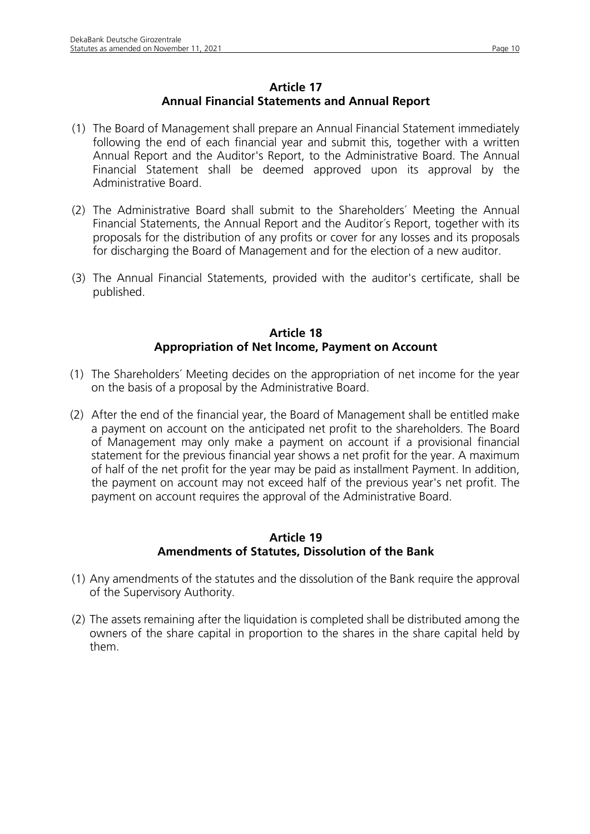## **Article 17 Annual Financial Statements and Annual Report**

- (1) The Board of Management shall prepare an Annual Financial Statement immediately following the end of each financial year and submit this, together with a written Annual Report and the Auditor's Report, to the Administrative Board. The Annual Financial Statement shall be deemed approved upon its approval by the Administrative Board.
- (2) The Administrative Board shall submit to the Shareholders´ Meeting the Annual Financial Statements, the Annual Report and the Auditor´s Report, together with its proposals for the distribution of any profits or cover for any Iosses and its proposals for discharging the Board of Management and for the election of a new auditor.
- (3) The Annual Financial Statements, provided with the auditor's certificate, shall be published.

## **Article 18 Appropriation of Net lncome, Payment on Account**

- (1) The Shareholders´ Meeting decides on the appropriation of net income for the year on the basis of a proposal by the Administrative Board.
- (2) After the end of the financial year, the Board of Management shall be entitled make a payment on account on the anticipated net profit to the shareholders. The Board of Management may only make a payment on account if a provisional financial statement for the previous financial year shows a net profit for the year. A maximum of half of the net profit for the year may be paid as installment Payment. In addition, the payment on account may not exceed half of the previous year's net profit. The payment on account requires the approval of the Administrative Board.

### **Article 19 Amendments of Statutes, Dissolution of the Bank**

- (1) Any amendments of the statutes and the dissolution of the Bank require the approval of the Supervisory Authority.
- (2) The assets remaining after the liquidation is completed shall be distributed among the owners of the share capital in proportion to the shares in the share capital held by them.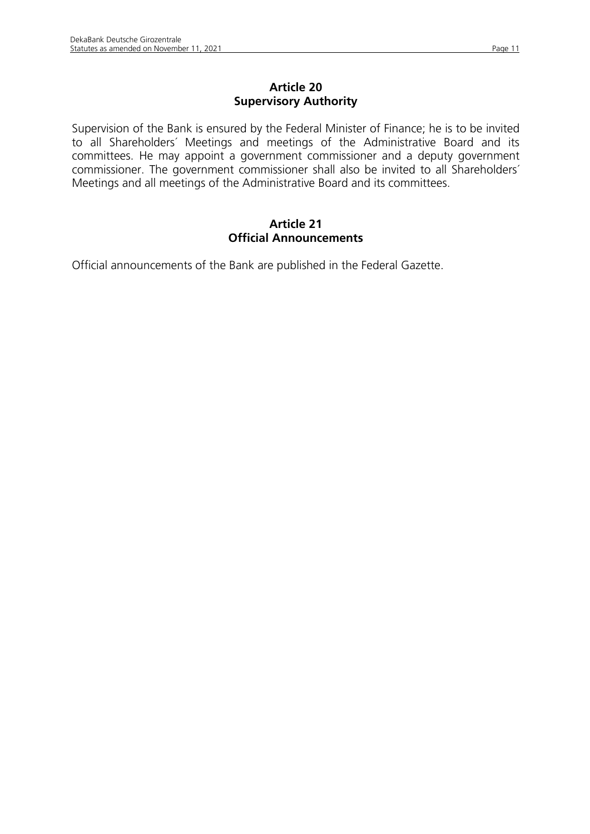Supervision of the Bank is ensured by the Federal Minister of Finance; he is to be invited to all Shareholders´ Meetings and meetings of the Administrative Board and its committees. He may appoint a government commissioner and a deputy government commissioner. The government commissioner shall also be invited to all Shareholders´ Meetings and all meetings of the Administrative Board and its committees.

## **Article 21 Official Announcements**

Official announcements of the Bank are published in the Federal Gazette.